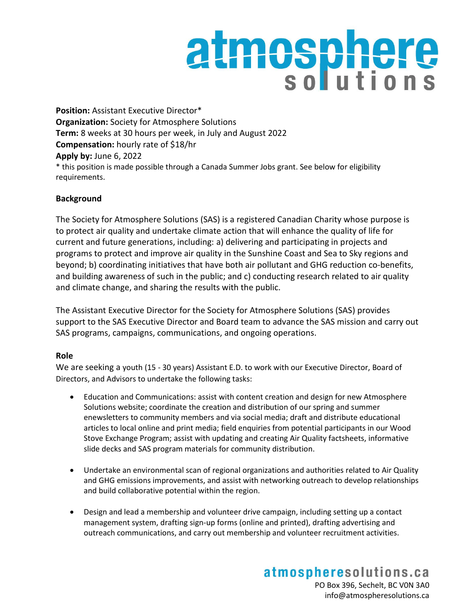## atmosphere

**Position:** Assistant Executive Director\* **Organization:** Society for Atmosphere Solutions **Term:** 8 weeks at 30 hours per week, in July and August 2022 **Compensation:** hourly rate of \$18/hr **Apply by:** June 6, 2022 \* this position is made possible through a Canada Summer Jobs grant. See below for eligibility requirements.

## **Background**

The Society for Atmosphere Solutions (SAS) is a registered Canadian Charity whose purpose is to protect air quality and undertake climate action that will enhance the quality of life for current and future generations, including: a) delivering and participating in projects and programs to protect and improve air quality in the Sunshine Coast and Sea to Sky regions and beyond; b) coordinating initiatives that have both air pollutant and GHG reduction co-benefits, and building awareness of such in the public; and c) conducting research related to air quality and climate change, and sharing the results with the public.

The Assistant Executive Director for the Society for Atmosphere Solutions (SAS) provides support to the SAS Executive Director and Board team to advance the SAS mission and carry out SAS programs, campaigns, communications, and ongoing operations.

## **Role**

We are seeking a youth (15 - 30 years) Assistant E.D. to work with our Executive Director, Board of Directors, and Advisors to undertake the following tasks:

- Education and Communications: assist with content creation and design for new Atmosphere Solutions website; coordinate the creation and distribution of our spring and summer enewsletters to community members and via social media; draft and distribute educational articles to local online and print media; field enquiries from potential participants in our Wood Stove Exchange Program; assist with updating and creating Air Quality factsheets, informative slide decks and SAS program materials for community distribution.
- Undertake an environmental scan of regional organizations and authorities related to Air Quality and GHG emissions improvements, and assist with networking outreach to develop relationships and build collaborative potential within the region.
- Design and lead a membership and volunteer drive campaign, including setting up a contact management system, drafting sign-up forms (online and printed), drafting advertising and outreach communications, and carry out membership and volunteer recruitment activities.

atmospheresolutions.ca PO Box 396, Sechelt, BC V0N 3A0 info@atmospheresolutions.ca